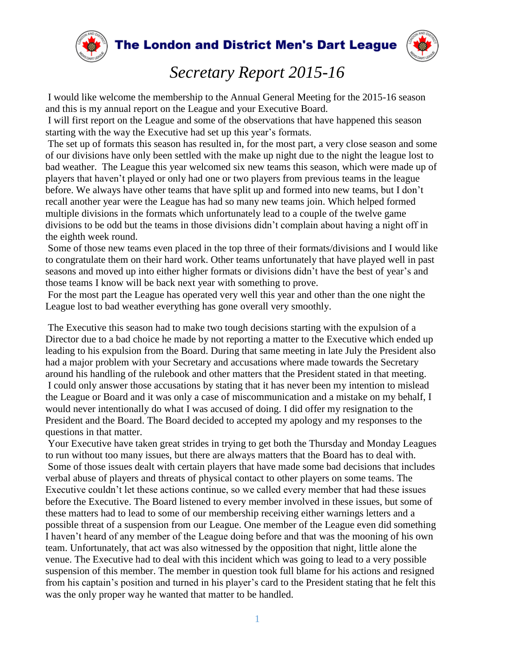

The London and District Men's Dart League



## *Secretary Report 2015-16*

I would like welcome the membership to the Annual General Meeting for the 2015-16 season and this is my annual report on the League and your Executive Board.

I will first report on the League and some of the observations that have happened this season starting with the way the Executive had set up this year's formats.

The set up of formats this season has resulted in, for the most part, a very close season and some of our divisions have only been settled with the make up night due to the night the league lost to bad weather. The League this year welcomed six new teams this season, which were made up of players that haven't played or only had one or two players from previous teams in the league before. We always have other teams that have split up and formed into new teams, but I don't recall another year were the League has had so many new teams join. Which helped formed multiple divisions in the formats which unfortunately lead to a couple of the twelve game divisions to be odd but the teams in those divisions didn't complain about having a night off in the eighth week round.

Some of those new teams even placed in the top three of their formats/divisions and I would like to congratulate them on their hard work. Other teams unfortunately that have played well in past seasons and moved up into either higher formats or divisions didn't have the best of year's and those teams I know will be back next year with something to prove.

For the most part the League has operated very well this year and other than the one night the League lost to bad weather everything has gone overall very smoothly.

The Executive this season had to make two tough decisions starting with the expulsion of a Director due to a bad choice he made by not reporting a matter to the Executive which ended up leading to his expulsion from the Board. During that same meeting in late July the President also had a major problem with your Secretary and accusations where made towards the Secretary around his handling of the rulebook and other matters that the President stated in that meeting. I could only answer those accusations by stating that it has never been my intention to mislead the League or Board and it was only a case of miscommunication and a mistake on my behalf, I would never intentionally do what I was accused of doing. I did offer my resignation to the President and the Board. The Board decided to accepted my apology and my responses to the questions in that matter.

Your Executive have taken great strides in trying to get both the Thursday and Monday Leagues to run without too many issues, but there are always matters that the Board has to deal with. Some of those issues dealt with certain players that have made some bad decisions that includes verbal abuse of players and threats of physical contact to other players on some teams. The Executive couldn't let these actions continue, so we called every member that had these issues before the Executive. The Board listened to every member involved in these issues, but some of these matters had to lead to some of our membership receiving either warnings letters and a possible threat of a suspension from our League. One member of the League even did something I haven't heard of any member of the League doing before and that was the mooning of his own team. Unfortunately, that act was also witnessed by the opposition that night, little alone the venue. The Executive had to deal with this incident which was going to lead to a very possible suspension of this member. The member in question took full blame for his actions and resigned from his captain's position and turned in his player's card to the President stating that he felt this was the only proper way he wanted that matter to be handled.